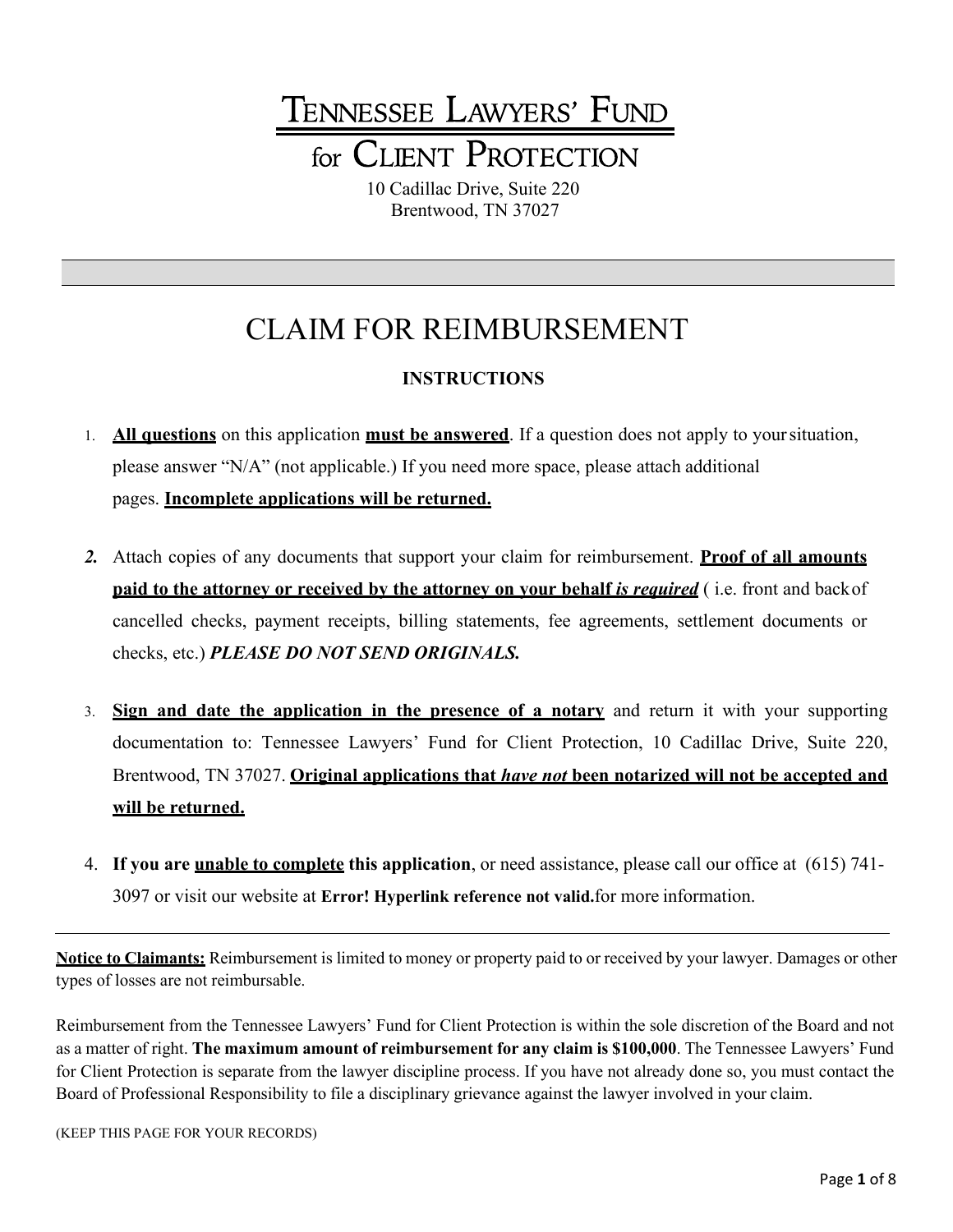# TENNESSEE LAWYERS' FUND for CLIENT PROTECTION

10 Cadillac Drive, Suite 220 Brentwood, TN 37027

## CLAIM FOR REIMBURSEMENT

#### **INSTRUCTIONS**

- 1. **All questions** on this application **must be answered**. If a question does not apply to yoursituation, please answer "N/A" (not applicable.) If you need more space, please attach additional pages. **Incomplete applications will be returned.**
- *2.* Attach copies of any documents that support your claim for reimbursement. **Proof of all amounts paid to the attorney or received by the attorney on your behalf** *is required* ( i.e. front and backof cancelled checks, payment receipts, billing statements, fee agreements, settlement documents or checks, etc.) *PLEASE DO NOT SEND ORIGINALS.*
- 3. **Sign and date the application in the presence of a notary** and return it with your supporting documentation to: Tennessee Lawyers' Fund for Client Protection, 10 Cadillac Drive, Suite 220, Brentwood, TN 37027. **Original applications that** *have not* **been notarized will not be accepted and will be returned.**
- 4. **If you are unable to complete this application**, or need assistance, please call our office at (615) 741- 3097 or visit our website at **Error! Hyperlink reference not valid.**for more information.

**Notice to Claimants:** Reimbursement is limited to money or property paid to or received by your lawyer. Damages or other types of losses are not reimbursable.

Reimbursement from the Tennessee Lawyers' Fund for Client Protection is within the sole discretion of the Board and not as a matter of right. **The maximum amount of reimbursement for any claim is \$100,000**. The Tennessee Lawyers' Fund for Client Protection is separate from the lawyer discipline process. If you have not already done so, you must contact the Board of Professional Responsibility to file a disciplinary grievance against the lawyer involved in your claim.

(KEEP THIS PAGE FOR YOUR RECORDS)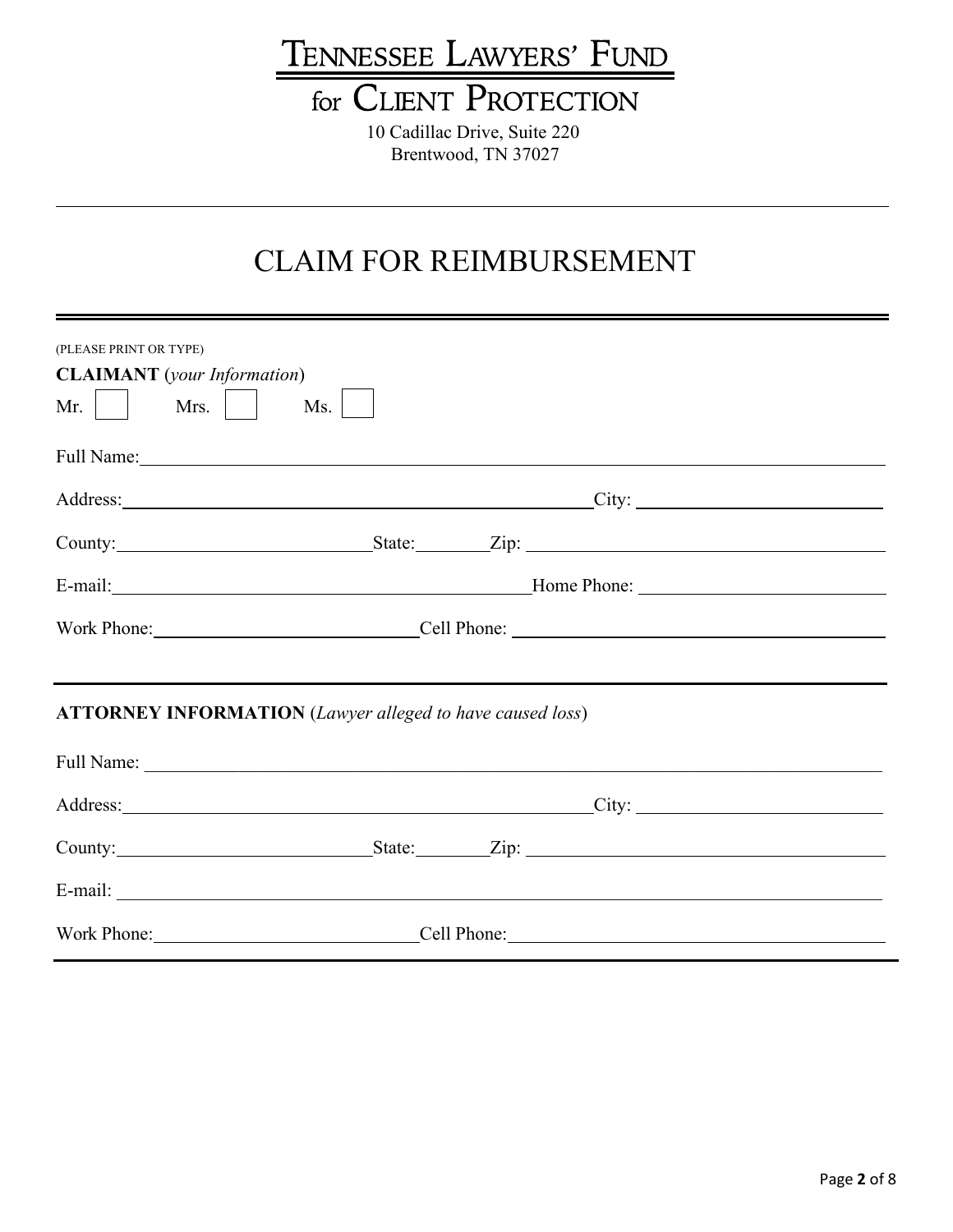# TENNESSEE LAWYERS' FUND

## for CLIENT PROTECTION

10 Cadillac Drive, Suite 220 Brentwood, TN 37027

### CLAIM FOR REIMBURSEMENT

| (PLEASE PRINT OR TYPE)<br><b>CLAIMANT</b> (your Information)     |  |                                                                                                                                                                                                                                |
|------------------------------------------------------------------|--|--------------------------------------------------------------------------------------------------------------------------------------------------------------------------------------------------------------------------------|
| Mrs. $\vert$ $\vert$<br>Mr.<br>Ms.                               |  |                                                                                                                                                                                                                                |
| Full Name: 1. 1992                                               |  |                                                                                                                                                                                                                                |
|                                                                  |  | Address: City: City: City: City: City: City: City: City: City: City: City: City: City: City: City: City: City: City: City: City: City: City: City: City: City: City: City: City: City: City: City: City: City: City: City: Cit |
|                                                                  |  | County: State: Zip: Zip:                                                                                                                                                                                                       |
|                                                                  |  |                                                                                                                                                                                                                                |
|                                                                  |  |                                                                                                                                                                                                                                |
| <b>ATTORNEY INFORMATION</b> (Lawyer alleged to have caused loss) |  | ,我们也不会有什么?""我们的人,我们也不会有什么?""我们的人,我们也不会有什么?""我们的人,我们也不会有什么?""我们的人,我们也不会有什么?""我们的人                                                                                                                                               |
|                                                                  |  |                                                                                                                                                                                                                                |
|                                                                  |  | Address: City: City:                                                                                                                                                                                                           |
|                                                                  |  |                                                                                                                                                                                                                                |
|                                                                  |  | E-mail: exploration of the contract of the contract of the contract of the contract of the contract of the contract of the contract of the contract of the contract of the contract of the contract of the contract of the con |
|                                                                  |  | Work Phone: Cell Phone: Cell Phone:                                                                                                                                                                                            |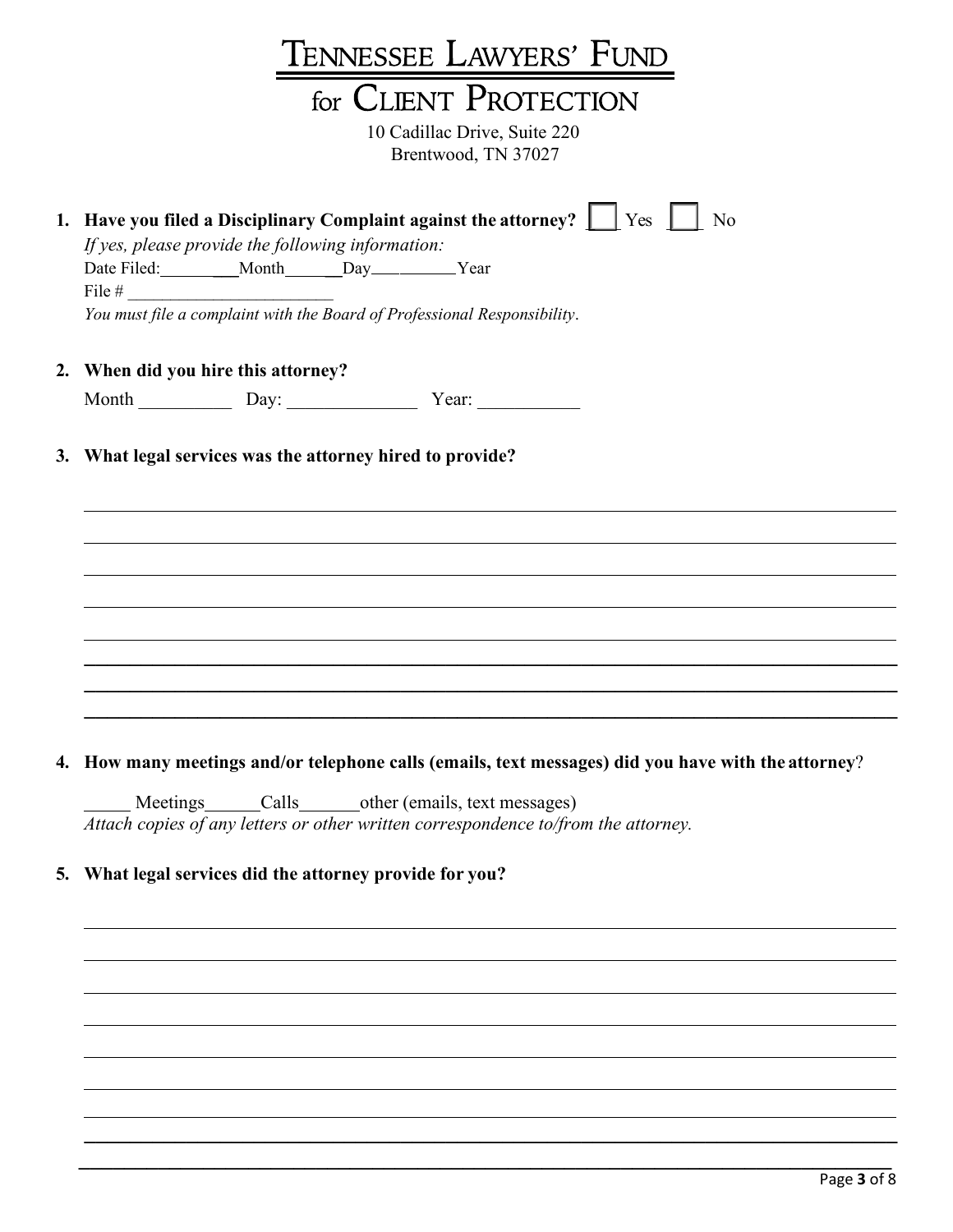|  | TENNESSEE LAWYERS' FUND                                                                                                                                                                                                                                                                    |  |  |
|--|--------------------------------------------------------------------------------------------------------------------------------------------------------------------------------------------------------------------------------------------------------------------------------------------|--|--|
|  |                                                                                                                                                                                                                                                                                            |  |  |
|  | for CLIENT PROTECTION                                                                                                                                                                                                                                                                      |  |  |
|  | 10 Cadillac Drive, Suite 220<br>Brentwood, TN 37027                                                                                                                                                                                                                                        |  |  |
|  | 1. Have you filed a Disciplinary Complaint against the attorney? $\Box$ Yes $\Box$<br>No<br>If yes, please provide the following information:<br>Date Filed: _________Month______Day__________Year<br>File $#$<br>You must file a complaint with the Board of Professional Responsibility. |  |  |
|  | 2. When did you hire this attorney?                                                                                                                                                                                                                                                        |  |  |
|  | Month Day: Day: Year:                                                                                                                                                                                                                                                                      |  |  |
|  | 3. What legal services was the attorney hired to provide?                                                                                                                                                                                                                                  |  |  |
|  |                                                                                                                                                                                                                                                                                            |  |  |
|  |                                                                                                                                                                                                                                                                                            |  |  |
|  |                                                                                                                                                                                                                                                                                            |  |  |

#### **4. How many meetings and/or telephone calls (emails, text messages) did you have with the attorney**?

 $\mathcal{L} = \{ \mathcal{L} = \{ \mathcal{L} = \{ \mathcal{L} = \mathcal{L} \} \mid \mathcal{L} = \{ \mathcal{L} = \{ \mathcal{L} = \mathcal{L} \} \mid \mathcal{L} = \{ \mathcal{L} = \{ \mathcal{L} = \mathcal{L} \} \mid \mathcal{L} = \{ \mathcal{L} = \{ \mathcal{L} = \mathcal{L} \} \mid \mathcal{L} = \{ \mathcal{L} = \{ \mathcal{L} = \mathcal{L} \} \mid \mathcal{L} = \{ \mathcal{L} = \{ \mathcal{L} = \mathcal{L} \} \mid \$  $\mathcal{L} = \frac{1}{2} \sum_{i=1}^{n} \frac{1}{2} \sum_{j=1}^{n} \frac{1}{2} \sum_{j=1}^{n} \frac{1}{2} \sum_{j=1}^{n} \frac{1}{2} \sum_{j=1}^{n} \frac{1}{2} \sum_{j=1}^{n} \frac{1}{2} \sum_{j=1}^{n} \frac{1}{2} \sum_{j=1}^{n} \frac{1}{2} \sum_{j=1}^{n} \frac{1}{2} \sum_{j=1}^{n} \frac{1}{2} \sum_{j=1}^{n} \frac{1}{2} \sum_{j=1}^{n} \frac{1}{2} \sum$ 

 $\mathcal{L} = \{ \mathcal{L} = \{ \mathcal{L} = \{ \mathcal{L} = \mathcal{L} \} \mid \mathcal{L} = \{ \mathcal{L} = \{ \mathcal{L} = \mathcal{L} \} \mid \mathcal{L} = \{ \mathcal{L} = \{ \mathcal{L} = \mathcal{L} \} \mid \mathcal{L} = \{ \mathcal{L} = \{ \mathcal{L} = \mathcal{L} \} \mid \mathcal{L} = \{ \mathcal{L} = \{ \mathcal{L} = \mathcal{L} \} \mid \mathcal{L} = \{ \mathcal{L} = \{ \mathcal{L} = \mathcal{L} \} \mid \$  $\mathcal{L} = \{ \mathcal{L} = \{ \mathcal{L} = \mathcal{L} \} \cup \{ \mathcal{L} = \{ \mathcal{L} = \mathcal{L} \} \cup \{ \mathcal{L} = \{ \mathcal{L} = \mathcal{L} \} \cup \{ \mathcal{L} = \{ \mathcal{L} = \mathcal{L} \} \cup \{ \mathcal{L} = \{ \mathcal{L} = \mathcal{L} \} \cup \{ \mathcal{L} = \{ \mathcal{L} = \mathcal{L} \} \cup \{ \mathcal{L} = \{ \mathcal{L} = \mathcal{L} \} \cup \{ \mathcal{L} = \{ \mathcal{L}$  $\mathcal{L} = \{ \mathcal{L} = \{ \mathcal{L} = \{ \mathcal{L} = \mathcal{L} \} \mid \mathcal{L} = \{ \mathcal{L} = \{ \mathcal{L} = \mathcal{L} \} \mid \mathcal{L} = \{ \mathcal{L} = \{ \mathcal{L} = \mathcal{L} \} \mid \mathcal{L} = \{ \mathcal{L} = \{ \mathcal{L} = \mathcal{L} \} \mid \mathcal{L} = \{ \mathcal{L} = \{ \mathcal{L} = \mathcal{L} \} \mid \mathcal{L} = \{ \mathcal{L} = \{ \mathcal{L} = \mathcal{L} \} \mid \$ 

Meetings Calls Calls other (emails, text messages) *Attach copies of any letters or other written correspondence to/from the attorney.*

#### **5. What legal services did the attorney provide for you?**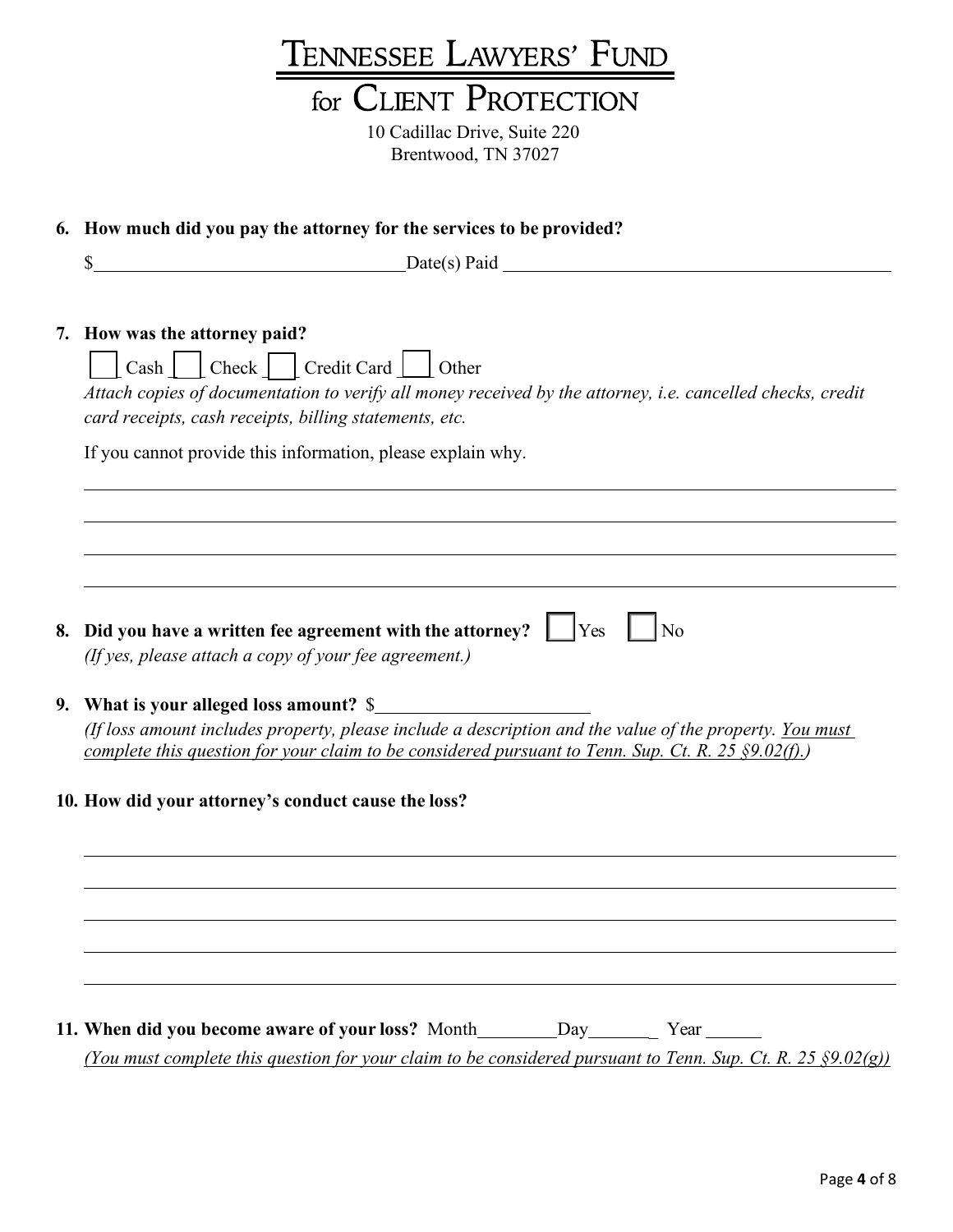| TENNESSEE LAWYERS' FUND                                                                                                                                                                                           |
|-------------------------------------------------------------------------------------------------------------------------------------------------------------------------------------------------------------------|
| for CLIENT PROTECTION                                                                                                                                                                                             |
| 10 Cadillac Drive, Suite 220                                                                                                                                                                                      |
| Brentwood, TN 37027                                                                                                                                                                                               |
|                                                                                                                                                                                                                   |
| 6. How much did you pay the attorney for the services to be provided?                                                                                                                                             |
| \$                                                                                                                                                                                                                |
|                                                                                                                                                                                                                   |
| 7. How was the attorney paid?                                                                                                                                                                                     |
| Cash   Check   Credit Card   Other                                                                                                                                                                                |
| Attach copies of documentation to verify all money received by the attorney, i.e. cancelled checks, credit                                                                                                        |
| card receipts, cash receipts, billing statements, etc.                                                                                                                                                            |
| If you cannot provide this information, please explain why.                                                                                                                                                       |
|                                                                                                                                                                                                                   |
|                                                                                                                                                                                                                   |
|                                                                                                                                                                                                                   |
|                                                                                                                                                                                                                   |
| 8. Did you have a written fee agreement with the attorney? $\Box$ Yes<br>$\log$<br>(If yes, please attach a copy of your fee agreement.)                                                                          |
|                                                                                                                                                                                                                   |
| 9. What is your alleged loss amount? \$                                                                                                                                                                           |
| (If loss amount includes property, please include a description and the value of the property. You must<br>complete this question for your claim to be considered pursuant to Tenn. Sup. Ct. R. 25 $\S 9.02(f)$ . |
|                                                                                                                                                                                                                   |
| 10. How did your attorney's conduct cause the loss?                                                                                                                                                               |
|                                                                                                                                                                                                                   |
|                                                                                                                                                                                                                   |
|                                                                                                                                                                                                                   |
|                                                                                                                                                                                                                   |
|                                                                                                                                                                                                                   |
|                                                                                                                                                                                                                   |
| (You must complete this question for your claim to be considered pursuant to Tenn. Sup. Ct. R. 25 $\S 9.02(g)$ )                                                                                                  |
|                                                                                                                                                                                                                   |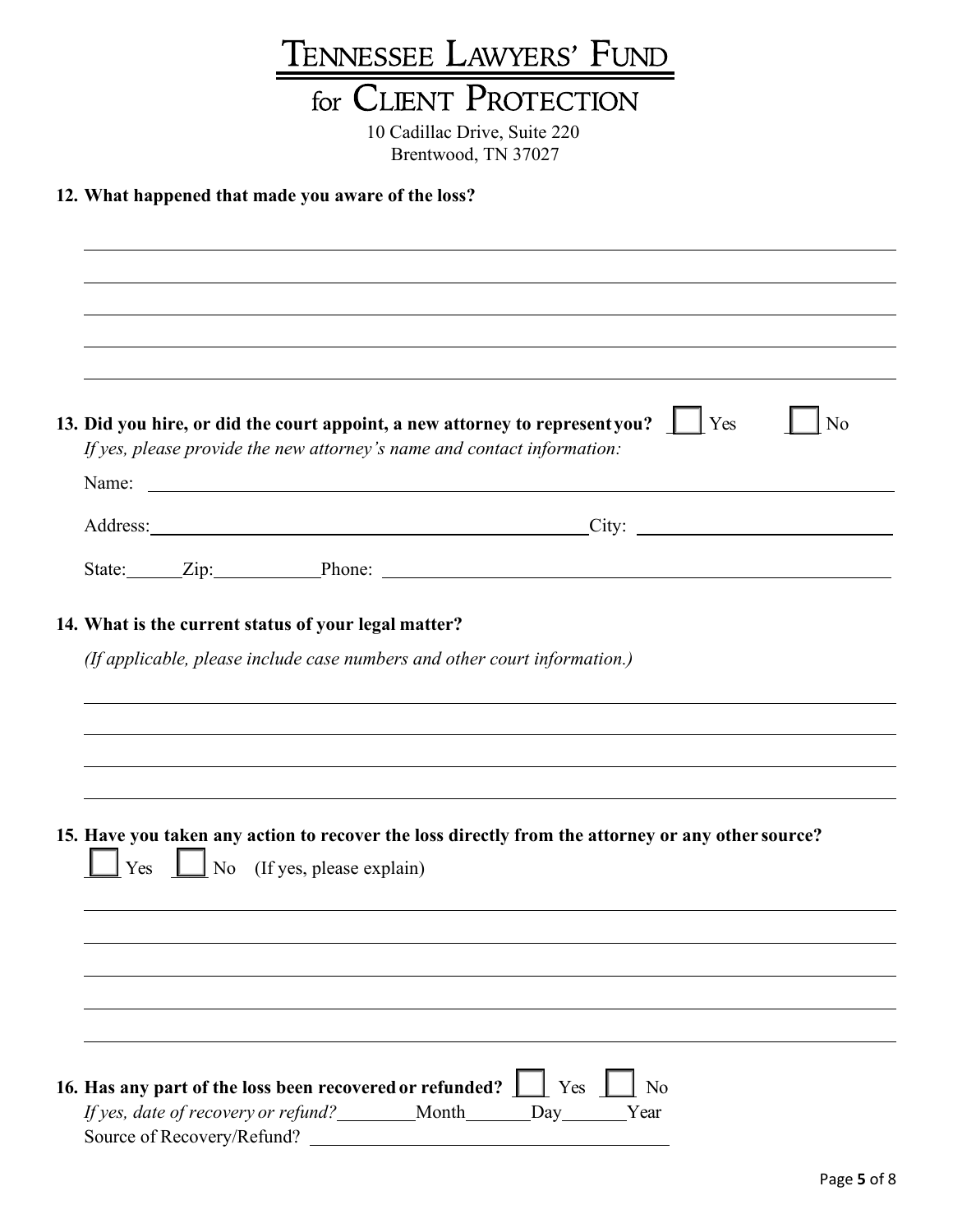## TENNESSEE LAWYERS' FUND

## for CLIENT PROTECTION

10 Cadillac Drive, Suite 220 Brentwood, TN 37027

#### **12. What happened that made you aware of the loss?**

|  | If yes, please provide the new attorney's name and contact information:                                                           | 13. Did you hire, or did the court appoint, a new attorney to representyou? $\Box$ Yes                                                                                                                                         | $\overline{\phantom{a}}$ No |
|--|-----------------------------------------------------------------------------------------------------------------------------------|--------------------------------------------------------------------------------------------------------------------------------------------------------------------------------------------------------------------------------|-----------------------------|
|  |                                                                                                                                   |                                                                                                                                                                                                                                |                             |
|  |                                                                                                                                   | Address: City: City: City: City: City: City: City: City: City: City: City: City: City: City: City: City: City: City: City: City: City: City: City: City: City: City: City: City: City: City: City: City: City: City: City: Cit |                             |
|  |                                                                                                                                   |                                                                                                                                                                                                                                |                             |
|  | 14. What is the current status of your legal matter?<br>(If applicable, please include case numbers and other court information.) |                                                                                                                                                                                                                                |                             |
|  |                                                                                                                                   |                                                                                                                                                                                                                                |                             |
|  | $\vert$ Yes $\vert$ No (If yes, please explain)                                                                                   | 15. Have you taken any action to recover the loss directly from the attorney or any other source?                                                                                                                              |                             |
|  |                                                                                                                                   |                                                                                                                                                                                                                                |                             |
|  | 16. Has any part of the loss been recovered or refunded?     Yes     No                                                           |                                                                                                                                                                                                                                |                             |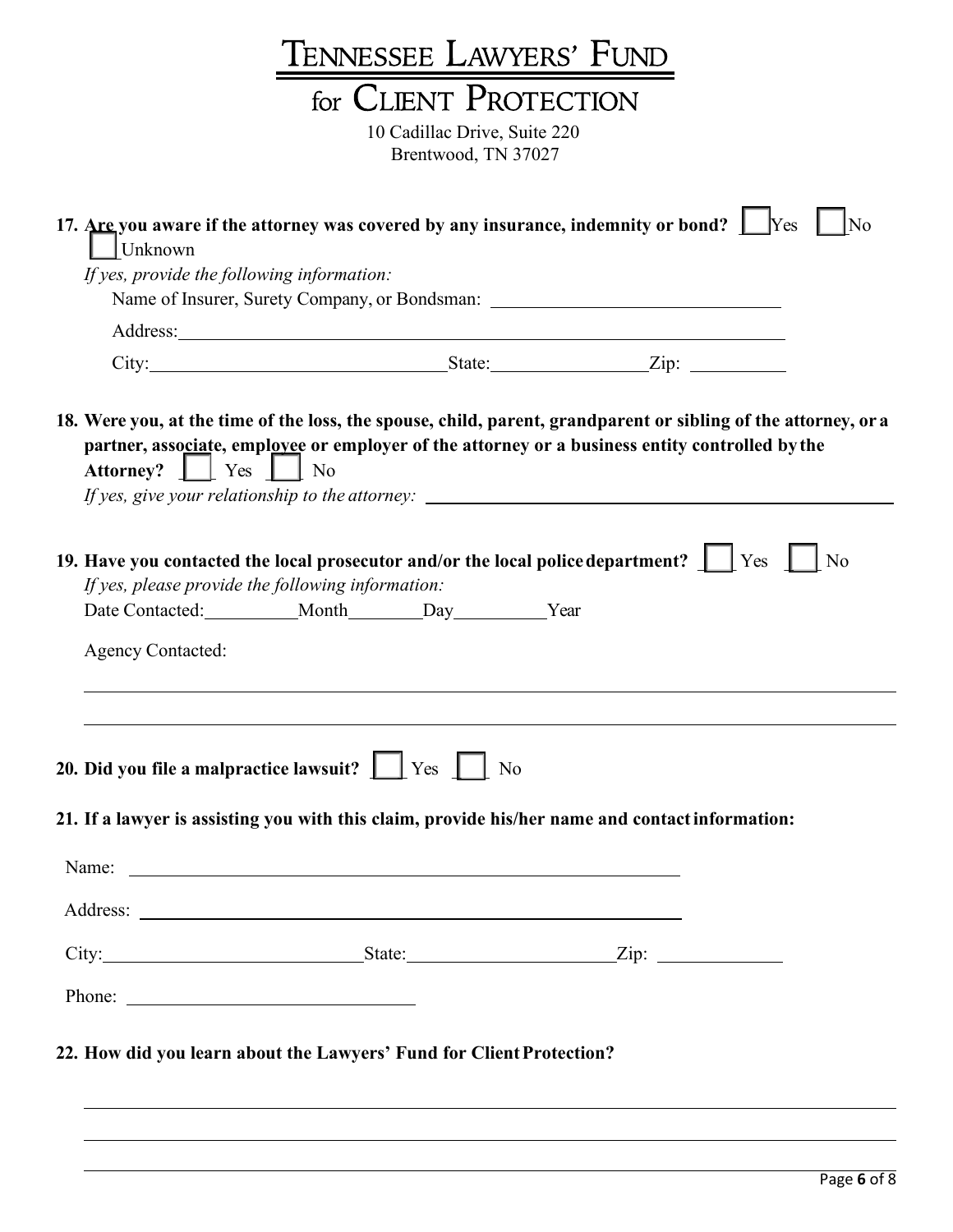|                                                                                                                                                                                                                                     | TENNESSEE LAWYERS' FUND        |                                                                                                 |    |
|-------------------------------------------------------------------------------------------------------------------------------------------------------------------------------------------------------------------------------------|--------------------------------|-------------------------------------------------------------------------------------------------|----|
|                                                                                                                                                                                                                                     | for CLIENT PROTECTION          |                                                                                                 |    |
|                                                                                                                                                                                                                                     | 10 Cadillac Drive, Suite 220   |                                                                                                 |    |
|                                                                                                                                                                                                                                     | Brentwood, TN 37027            |                                                                                                 |    |
| 17. Are you aware if the attorney was covered by any insurance, indemnity or bond? $\Box$ Yes<br>$\Box$ Unknown<br>If yes, provide the following information:                                                                       |                                | Name of Insurer, Surety Company, or Bondsman: ___________________________________               | No |
|                                                                                                                                                                                                                                     |                                |                                                                                                 |    |
| 18. Were you, at the time of the loss, the spouse, child, parent, grandparent or sibling of the attorney, or a<br>Attorney?     Yes     No                                                                                          |                                | partner, associate, employee or employer of the attorney or a business entity controlled by the |    |
| 19. Have you contacted the local prosecutor and/or the local police department? $\Box$ Yes $\Box$ No<br>If yes, please provide the following information:<br><b>Agency Contacted:</b>                                               | Date Contacted: Month Day Year |                                                                                                 |    |
|                                                                                                                                                                                                                                     |                                |                                                                                                 |    |
| 20. Did you file a malpractice lawsuit? $\Box$ Yes $\Box$ No                                                                                                                                                                        |                                |                                                                                                 |    |
| 21. If a lawyer is assisting you with this claim, provide his/her name and contact information:                                                                                                                                     |                                |                                                                                                 |    |
| Name: <u>example</u> and the same of the same of the same of the same of the same of the same of the same of the same of the same of the same of the same of the same of the same of the same of the same of the same of the same o |                                |                                                                                                 |    |
|                                                                                                                                                                                                                                     |                                |                                                                                                 |    |
| City: <u>City:</u> City: City: City: City: City: City: City: City: City: City: City: City: City: City: City: City: City: City: City: City: City: City: City: City: City: City: City: City: City: City: City: City: City: City: City |                                |                                                                                                 |    |
| Phone:                                                                                                                                                                                                                              |                                |                                                                                                 |    |
| 22. How did you learn about the Lawyers' Fund for Client Protection?                                                                                                                                                                |                                |                                                                                                 |    |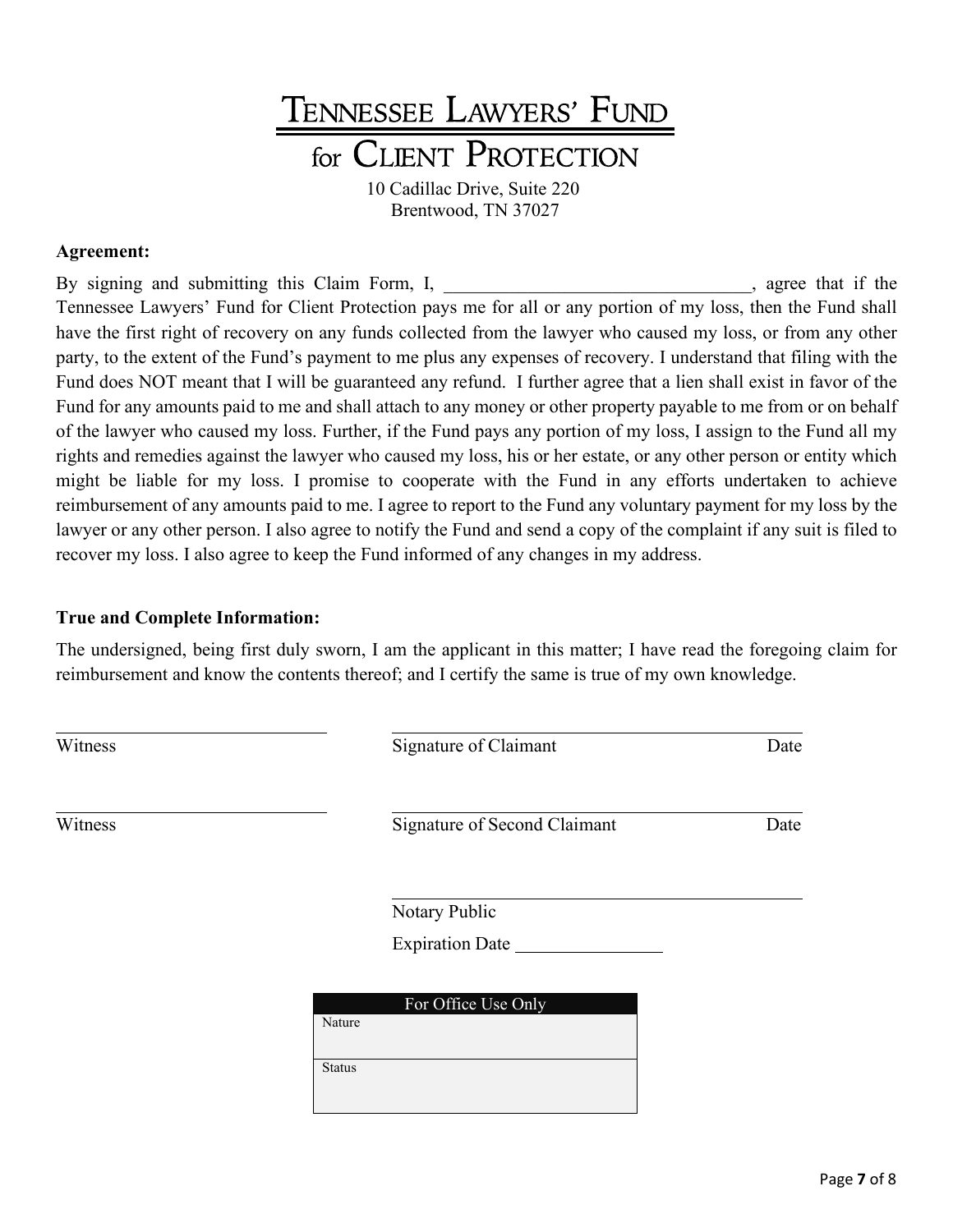## TENNESSEE LAWYERS' FUND for CLIENT PROTECTION 10 Cadillac Drive, Suite 220

Brentwood, TN 37027

#### **Agreement:**

By signing and submitting this Claim Form, I, agree that if the Tennessee Lawyers' Fund for Client Protection pays me for all or any portion of my loss, then the Fund shall have the first right of recovery on any funds collected from the lawyer who caused my loss, or from any other party, to the extent of the Fund's payment to me plus any expenses of recovery. I understand that filing with the Fund does NOT meant that I will be guaranteed any refund. I further agree that a lien shall exist in favor of the Fund for any amounts paid to me and shall attach to any money or other property payable to me from or on behalf of the lawyer who caused my loss. Further, if the Fund pays any portion of my loss, I assign to the Fund all my rights and remedies against the lawyer who caused my loss, his or her estate, or any other person or entity which might be liable for my loss. I promise to cooperate with the Fund in any efforts undertaken to achieve reimbursement of any amounts paid to me. I agree to report to the Fund any voluntary payment for my loss by the lawyer or any other person. I also agree to notify the Fund and send a copy of the complaint if any suit is filed to recover my loss. I also agree to keep the Fund informed of any changes in my address.

#### **True and Complete Information:**

The undersigned, being first duly sworn, I am the applicant in this matter; I have read the foregoing claim for reimbursement and know the contents thereof; and I certify the same is true of my own knowledge.

| Witness | Signature of Claimant         | Date |
|---------|-------------------------------|------|
| Witness | Signature of Second Claimant  | Date |
|         | Notary Public                 |      |
|         | Expiration Date               |      |
|         | For Office Use Only<br>Nature |      |
|         | <b>Status</b>                 |      |